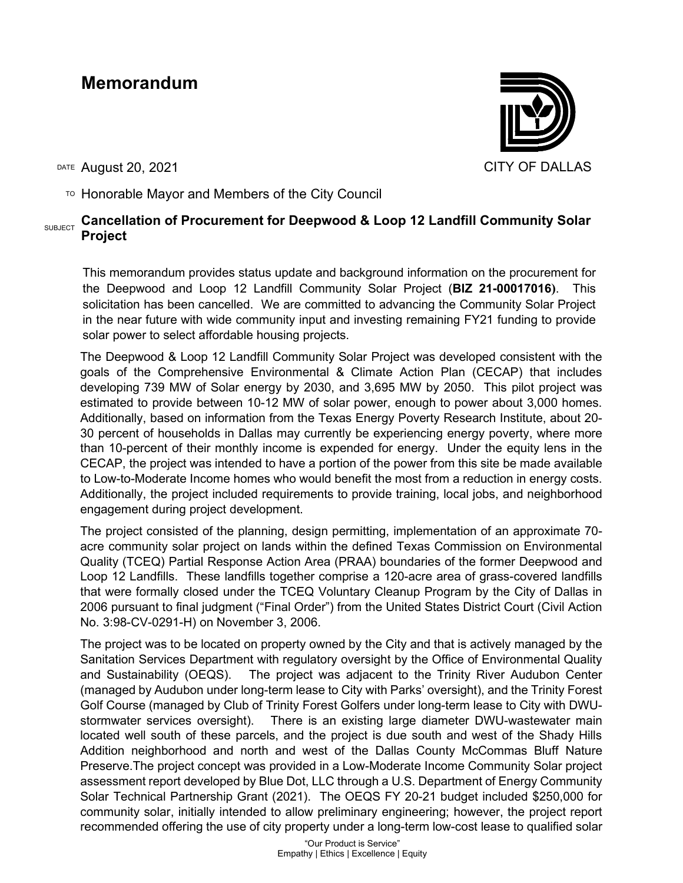## **Memorandum**

DATE August 20, 2021 CITY OF DALLAS

 $T$ <sup>O</sup> Honorable Mayor and Members of the City Council

## SUBJECT **Cancellation of Procurement for Deepwood & Loop 12 Landfill Community Solar Project**

This memorandum provides status update and background information on the procurement for the Deepwood and Loop 12 Landfill Community Solar Project (**BIZ 21-00017016)**. This solicitation has been cancelled. We are committed to advancing the Community Solar Project in the near future with wide community input and investing remaining FY21 funding to provide solar power to select affordable housing projects.

The Deepwood & Loop 12 Landfill Community Solar Project was developed consistent with the goals of the Comprehensive Environmental & Climate Action Plan (CECAP) that includes developing 739 MW of Solar energy by 2030, and 3,695 MW by 2050. This pilot project was estimated to provide between 10-12 MW of solar power, enough to power about 3,000 homes. Additionally, based on information from the Texas Energy Poverty Research Institute, about 20- 30 percent of households in Dallas may currently be experiencing energy poverty, where more than 10-percent of their monthly income is expended for energy. Under the equity lens in the CECAP, the project was intended to have a portion of the power from this site be made available to Low-to-Moderate Income homes who would benefit the most from a reduction in energy costs. Additionally, the project included requirements to provide training, local jobs, and neighborhood engagement during project development.

The project consisted of the planning, design permitting, implementation of an approximate 70 acre community solar project on lands within the defined Texas Commission on Environmental Quality (TCEQ) Partial Response Action Area (PRAA) boundaries of the former Deepwood and Loop 12 Landfills. These landfills together comprise a 120-acre area of grass-covered landfills that were formally closed under the TCEQ Voluntary Cleanup Program by the City of Dallas in 2006 pursuant to final judgment ("Final Order") from the United States District Court (Civil Action No. 3:98-CV-0291-H) on November 3, 2006.

The project was to be located on property owned by the City and that is actively managed by the Sanitation Services Department with regulatory oversight by the Office of Environmental Quality and Sustainability (OEQS). The project was adjacent to the Trinity River Audubon Center (managed by Audubon under long-term lease to City with Parks' oversight), and the Trinity Forest Golf Course (managed by Club of Trinity Forest Golfers under long-term lease to City with DWUstormwater services oversight). There is an existing large diameter DWU-wastewater main located well south of these parcels, and the project is due south and west of the Shady Hills Addition neighborhood and north and west of the Dallas County McCommas Bluff Nature Preserve.The project concept was provided in a Low-Moderate Income Community Solar project assessment report developed by Blue Dot, LLC through a U.S. Department of Energy Community Solar Technical Partnership Grant (2021). The OEQS FY 20-21 budget included \$250,000 for community solar, initially intended to allow preliminary engineering; however, the project report recommended offering the use of city property under a long-term low-cost lease to qualified solar